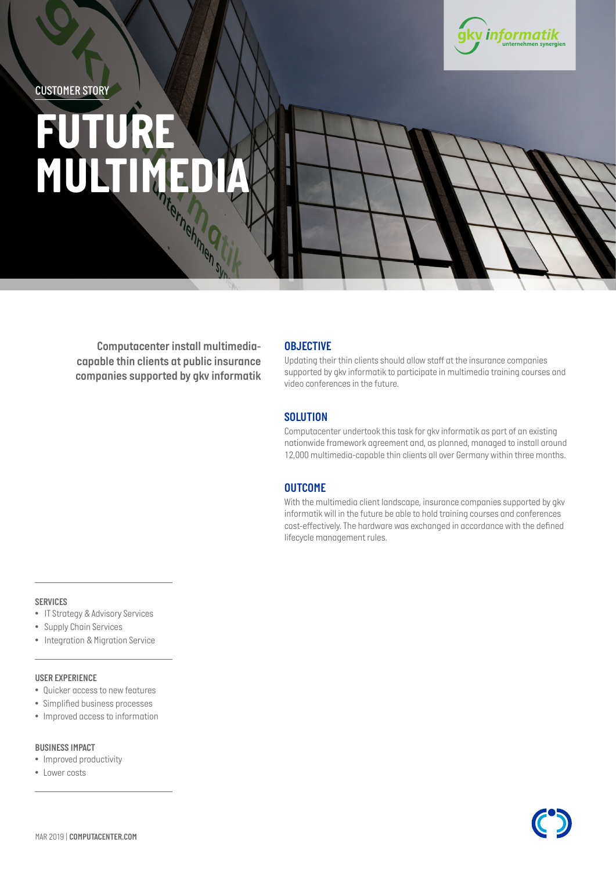*CUSTOMER STORY*

# **xv informatik**

# *FUTURE MULTIMEDIA*

*Computacenter install multimediacapable thin clients at public insurance companies supported by gkv informatik*

#### *OBJECTIVE*

*Updating their thin clients should allow staff at the insurance companies supported by gkv informatik to participate in multimedia training courses and video conferences in the future.* 

#### *SOLUTION*

*Computacenter undertook this task for gkv informatik as part of an existing nationwide framework agreement and, as planned, managed to install around 12,000 multimedia-capable thin clients all over Germany within three months.* 

#### *OUTCOME*

*With the multimedia client landscape, insurance companies supported by gkv informatik will in the future be able to hold training courses and conferences cost-effectively. The hardware was exchanged in accordance with the defined lifecycle management rules.* 

#### *SERVICES*

- *• IT Strategy & Advisory Services*
- *• Supply Chain Services*
- *• Integration & Migration Service*

#### *USER EXPERIENCE*

- *• Quicker access to new features*
- *• Simplified business processes*
- *• Improved access to information*

#### *BUSINESS IMPACT*

- *• Improved productivity*
- *• Lower costs*